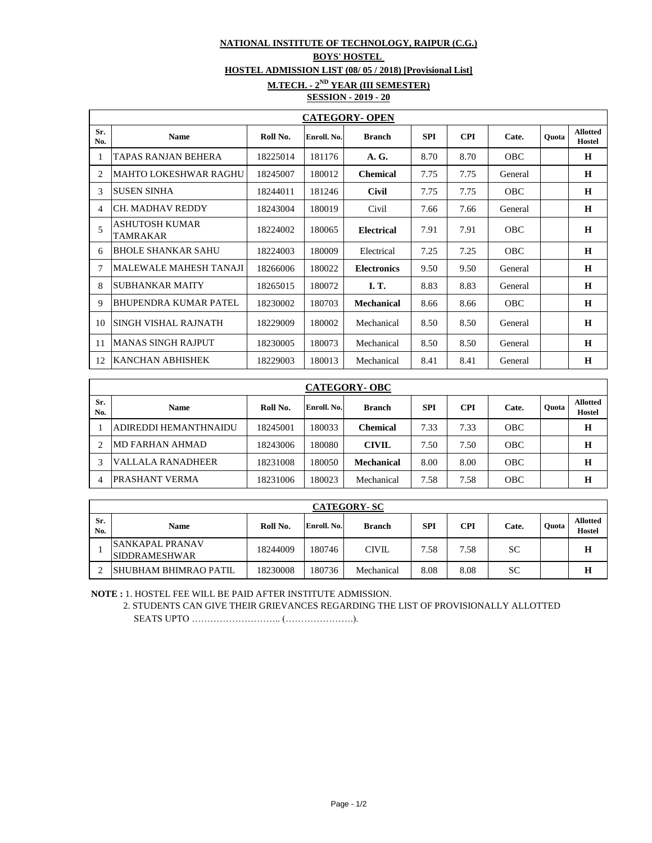## **NATIONAL INSTITUTE OF TECHNOLOGY, RAIPUR (C.G.)**

## **BOYS' HOSTEL**

**HOSTEL ADMISSION LIST (08/ 05 / 2018) [Provisional List]**

**M.TECH. - 2ND YEAR (III SEMESTER)**

## **SESSION - 2019 - 20**

| <b>CATEGORY- OPEN</b> |                                   |          |             |                    |            |            |            |       |                           |
|-----------------------|-----------------------------------|----------|-------------|--------------------|------------|------------|------------|-------|---------------------------|
| Sr.<br>No.            | <b>Name</b>                       | Roll No. | Enroll. No. | <b>Branch</b>      | <b>SPI</b> | <b>CPI</b> | Cate.      | Ouota | <b>Allotted</b><br>Hostel |
| 1                     | TAPAS RANJAN BEHERA               | 18225014 | 181176      | A. G.              | 8.70       | 8.70       | <b>OBC</b> |       | $\bf H$                   |
| 2                     | IMAHTO LOKESHWAR RAGHU            | 18245007 | 180012      | <b>Chemical</b>    | 7.75       | 7.75       | General    |       | $\bf H$                   |
| 3                     | <b>ISUSEN SINHA</b>               | 18244011 | 181246      | <b>Civil</b>       | 7.75       | 7.75       | <b>OBC</b> |       | H                         |
| 4                     | CH. MADHAV REDDY                  | 18243004 | 180019      | Civil              | 7.66       | 7.66       | General    |       | $\bf H$                   |
| 5                     | <b>ASHUTOSH KUMAR</b><br>TAMRAKAR | 18224002 | 180065      | <b>Electrical</b>  | 7.91       | 7.91       | OBC        |       | H                         |
| 6                     | <b>BHOLE SHANKAR SAHU</b>         | 18224003 | 180009      | Electrical         | 7.25       | 7.25       | <b>OBC</b> |       | H                         |
| 7                     | <b>MALEWALE MAHESH TANAJI</b>     | 18266006 | 180022      | <b>Electronics</b> | 9.50       | 9.50       | General    |       | H                         |
| 8                     | ISUBHANKAR MAITY                  | 18265015 | 180072      | I. T.              | 8.83       | 8.83       | General    |       | $\bf H$                   |
| 9                     | BHUPENDRA KUMAR PATEL             | 18230002 | 180703      | <b>Mechanical</b>  | 8.66       | 8.66       | <b>OBC</b> |       | H                         |
| 10                    | <b>SINGH VISHAL RAJNATH</b>       | 18229009 | 180002      | Mechanical         | 8.50       | 8.50       | General    |       | $\bf H$                   |
| 11                    | <b>MANAS SINGH RAJPUT</b>         | 18230005 | 180073      | Mechanical         | 8.50       | 8.50       | General    |       | $\bf H$                   |
| 12                    | <b>KANCHAN ABHISHEK</b>           | 18229003 | 180013      | Mechanical         | 8.41       | 8.41       | General    |       | H                         |

| <b>CATEGORY- OBC</b> |                          |          |             |                   |            |      |            |       |                                  |
|----------------------|--------------------------|----------|-------------|-------------------|------------|------|------------|-------|----------------------------------|
| Sr.<br>No.           | <b>Name</b>              | Roll No. | Enroll. No. | <b>Branch</b>     | <b>SPI</b> | CPI  | Cate.      | Ouota | <b>Allotted</b><br><b>Hostel</b> |
|                      | ADIREDDI HEMANTHNAIDU    | 18245001 | 180033      | <b>Chemical</b>   | 7.33       | 7.33 | OBC        |       | Н                                |
|                      | <b>MD FARHAN AHMAD</b>   | 18243006 | 180080      | <b>CIVIL</b>      | 7.50       | 7.50 | <b>OBC</b> |       | H                                |
|                      | <b>VALLALA RANADHEER</b> | 18231008 | 180050      | <b>Mechanical</b> | 8.00       | 8.00 | OBC        |       | H                                |
|                      | PRASHANT VERMA           | 18231006 | 180023      | Mechanical        | 7.58       | 7.58 | OBC        |       | H                                |

| <b>CATEGORY-SC</b> |                                           |          |             |               |            |      |           |       |                                  |
|--------------------|-------------------------------------------|----------|-------------|---------------|------------|------|-----------|-------|----------------------------------|
| Sr.<br>No.         | <b>Name</b>                               | Roll No. | Enroll. No. | <b>Branch</b> | <b>SPI</b> | CPI  | Cate.     | Ouota | <b>Allotted</b><br><b>Hostel</b> |
|                    | ISANKAPAL PRANAV<br><b>ISIDDRAMESHWAR</b> | 18244009 | 180746      | CIVIL.        | 7.58       | 7.58 | <b>SC</b> |       | н                                |
|                    | ISHUBHAM BHIMRAO PATIL                    | 18230008 | 180736      | Mechanical    | 8.08       | 8.08 | SC        |       | н                                |

**NOTE :** 1. HOSTEL FEE WILL BE PAID AFTER INSTITUTE ADMISSION.

 2. STUDENTS CAN GIVE THEIR GRIEVANCES REGARDING THE LIST OF PROVISIONALLY ALLOTTED SEATS UPTO ……………………….. (………………….).